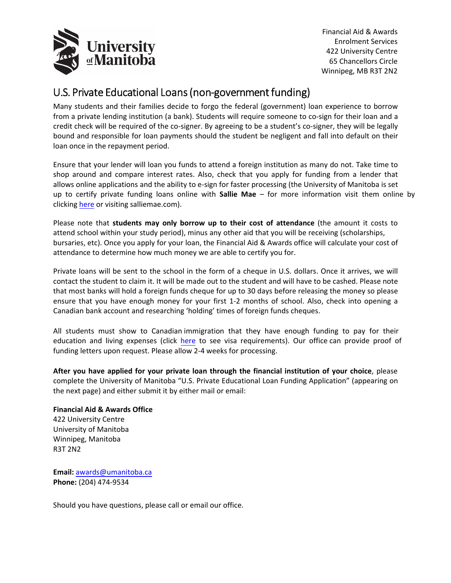

Financial Aid & Awards Enrolment Services 422 University Centre 65 Chancellors Circle Winnipeg, MB R3T 2N2

## U.S. Private Educational Loans (non‐government funding)

Many students and their families decide to forgo the federal (government) loan experience to borrow from a private lending institution (a bank). Students will require someone to co-sign for their loan and a credit check will be required of the co-signer. By agreeing to be a student's co-signer, they will be legally bound and responsible for loan payments should the student be negligent and fall into default on their loan once in the repayment period.

Ensure that your lender will loan you funds to attend a foreign institution as many do not. Take time to shop around and compare interest rates. Also, check that you apply for funding from a lender that allows online applications and the ability to e‐sign for faster processing (the University of Manitoba is set up to certify private funding loans online with **Sallie Mae** – for more information visit them online by clicking [here](http://www.salliemae.com/get_student_loan/find_student_loan/undergrad_student_loan/private_student_loans/) or visiting salliemae.com).

Please note that **students may only borrow up to their cost of attendance** (the amount it costs to attend school within your study period), minus any other aid that you will be receiving (scholarships, bursaries, etc). Once you apply for your loan, the Financial Aid & Awards office will calculate your cost of attendance to determine how much money we are able to certify you for.

Private loans will be sent to the school in the form of a cheque in U.S. dollars. Once it arrives, we will contact the student to claim it. It will be made out to the student and will have to be cashed. Please note that most banks will hold a foreign funds cheque for up to 30 days before releasing the money so please ensure that you have enough money for your first 1‐2 months of school. Also, check into opening a Canadian bank account and researching 'holding' times of foreign funds cheques.

All students must show to Canadian immigration that they have enough funding to pay for their education and living expenses (click [here](https://www.canada.ca/en/immigration-refugees-citizenship/services/study-canada/study-permit/eligibility.html) to see visa requirements). Our office can provide proof of funding letters upon request. Please allow 2‐4 weeks for processing.

**After you have applied for your private loan through the financial institution of your choice**, please complete the University of Manitoba "U.S. Private Educational Loan Funding Application" (appearing on the next page) and either submit it by either mail or email:

## **Financial Aid & Awards Office**

422 University Centre University of Manitoba Winnipeg, Manitoba R3T 2N2

**Email:** awards@umanitoba.ca **Phone:** (204) 474‐9534

Should you have questions, please call or email our office.